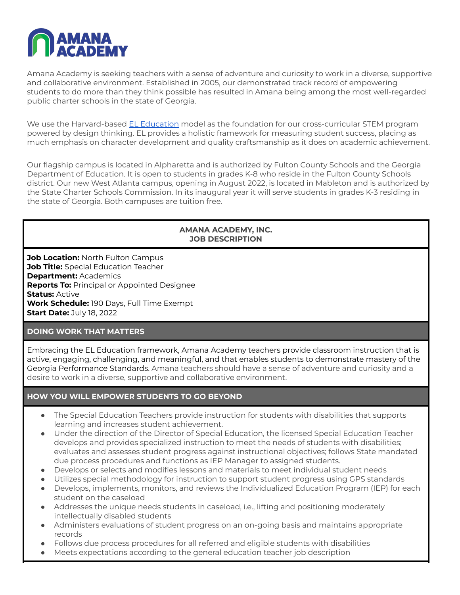

Amana Academy is seeking teachers with a sense of adventure and curiosity to work in a diverse, supportive and collaborative environment. Established in 2005, our demonstrated track record of empowering students to do more than they think possible has resulted in Amana being among the most well-regarded public charter schools in the state of Georgia.

We use the Harvard-based EL [Education](https://eleducation.org/) model as the foundation for our cross-curricular STEM program powered by design thinking. EL provides a holistic framework for measuring student success, placing as much emphasis on character development and quality craftsmanship as it does on academic achievement.

Our flagship campus is located in Alpharetta and is authorized by Fulton County Schools and the Georgia Department of Education. It is open to students in grades K-8 who reside in the Fulton County Schools district. Our new West Atlanta campus, opening in August 2022, is located in Mableton and is authorized by the State Charter Schools Commission. In its inaugural year it will serve students in grades K-3 residing in the state of Georgia. Both campuses are tuition free.

### **AMANA ACADEMY, INC. JOB DESCRIPTION**

**Job Location:** North Fulton Campus **Job Title:** Special Education Teacher **Department:** Academics **Reports To:** Principal or Appointed Designee **Status:** Active **Work Schedule:** 190 Days, Full Time Exempt **Start Date:** July 18, 2022

## **DOING WORK THAT MATTERS**

Embracing the EL Education framework, Amana Academy teachers provide classroom instruction that is active, engaging, challenging, and meaningful, and that enables students to demonstrate mastery of the Georgia Performance Standards. Amana teachers should have a sense of adventure and curiosity and a desire to work in a diverse, supportive and collaborative environment.

## **HOW YOU WILL EMPOWER STUDENTS TO GO BEYOND**

- The Special Education Teachers provide instruction for students with disabilities that supports learning and increases student achievement.
- Under the direction of the Director of Special Education, the licensed Special Education Teacher develops and provides specialized instruction to meet the needs of students with disabilities; evaluates and assesses student progress against instructional objectives; follows State mandated due process procedures and functions as IEP Manager to assigned students.
- Develops or selects and modifies lessons and materials to meet individual student needs
- Utilizes special methodology for instruction to support student progress using GPS standards
- Develops, implements, monitors, and reviews the Individualized Education Program (IEP) for each student on the caseload
- Addresses the unique needs students in caseload, i.e., lifting and positioning moderately intellectually disabled students
- Administers evaluations of student progress on an on-going basis and maintains appropriate records
- Follows due process procedures for all referred and eligible students with disabilities
- Meets expectations according to the general education teacher job description